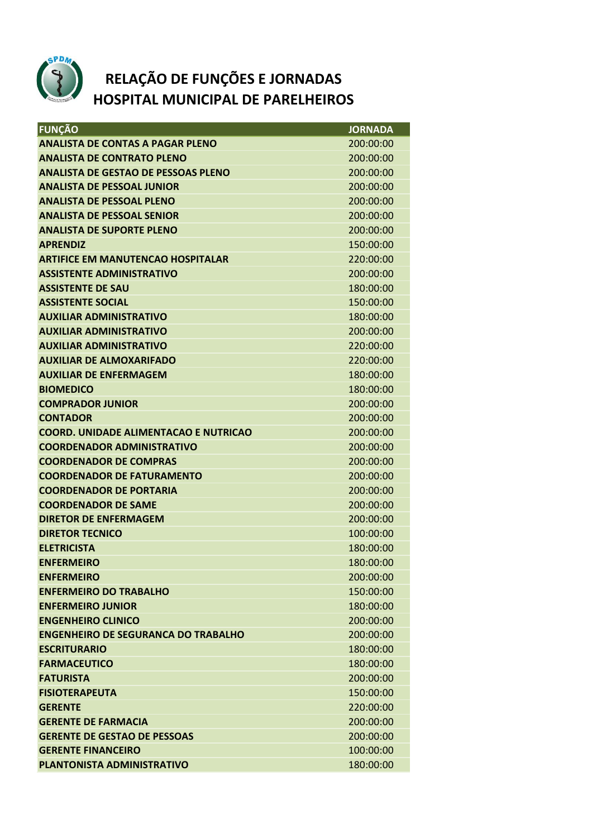

## **RELAÇÃO DE FUNÇÕES E JORNADAS HOSPITAL MUNICIPAL DE PARELHEIROS**

| <b>FUNÇÃO</b>                                | <b>JORNADA</b> |
|----------------------------------------------|----------------|
| <b>ANALISTA DE CONTAS A PAGAR PLENO</b>      | 200:00:00      |
| <b>ANALISTA DE CONTRATO PLENO</b>            | 200:00:00      |
| <b>ANALISTA DE GESTAO DE PESSOAS PLENO</b>   | 200:00:00      |
| <b>ANALISTA DE PESSOAL JUNIOR</b>            | 200:00:00      |
| <b>ANALISTA DE PESSOAL PLENO</b>             | 200:00:00      |
| <b>ANALISTA DE PESSOAL SENIOR</b>            | 200:00:00      |
| <b>ANALISTA DE SUPORTE PLENO</b>             | 200:00:00      |
| <b>APRENDIZ</b>                              | 150:00:00      |
| <b>ARTIFICE EM MANUTENCAO HOSPITALAR</b>     | 220:00:00      |
| <b>ASSISTENTE ADMINISTRATIVO</b>             | 200:00:00      |
| <b>ASSISTENTE DE SAU</b>                     | 180:00:00      |
| <b>ASSISTENTE SOCIAL</b>                     | 150:00:00      |
| <b>AUXILIAR ADMINISTRATIVO</b>               | 180:00:00      |
| <b>AUXILIAR ADMINISTRATIVO</b>               | 200:00:00      |
| <b>AUXILIAR ADMINISTRATIVO</b>               | 220:00:00      |
| <b>AUXILIAR DE ALMOXARIFADO</b>              | 220:00:00      |
| <b>AUXILIAR DE ENFERMAGEM</b>                | 180:00:00      |
| <b>BIOMEDICO</b>                             | 180:00:00      |
| <b>COMPRADOR JUNIOR</b>                      | 200:00:00      |
| <b>CONTADOR</b>                              | 200:00:00      |
| <b>COORD. UNIDADE ALIMENTACAO E NUTRICAO</b> | 200:00:00      |
| <b>COORDENADOR ADMINISTRATIVO</b>            | 200:00:00      |
| <b>COORDENADOR DE COMPRAS</b>                | 200:00:00      |
| <b>COORDENADOR DE FATURAMENTO</b>            | 200:00:00      |
| <b>COORDENADOR DE PORTARIA</b>               | 200:00:00      |
| <b>COORDENADOR DE SAME</b>                   | 200:00:00      |
| <b>DIRETOR DE ENFERMAGEM</b>                 | 200:00:00      |
| <b>DIRETOR TECNICO</b>                       | 100:00:00      |
| <b>ELETRICISTA</b>                           | 180:00:00      |
| <b>ENFERMEIRO</b>                            | 180:00:00      |
| <b>ENFERMEIRO</b>                            | 200:00:00      |
| <b>ENFERMEIRO DO TRABALHO</b>                | 150:00:00      |
| <b>ENFERMEIRO JUNIOR</b>                     | 180:00:00      |
| <b>ENGENHEIRO CLINICO</b>                    | 200:00:00      |
| <b>ENGENHEIRO DE SEGURANCA DO TRABALHO</b>   | 200:00:00      |
| <b>ESCRITURARIO</b>                          | 180:00:00      |
| <b>FARMACEUTICO</b>                          | 180:00:00      |
| <b>FATURISTA</b>                             | 200:00:00      |
| <b>FISIOTERAPEUTA</b>                        | 150:00:00      |
| <b>GERENTE</b>                               | 220:00:00      |
| <b>GERENTE DE FARMACIA</b>                   | 200:00:00      |
| <b>GERENTE DE GESTAO DE PESSOAS</b>          | 200:00:00      |
| <b>GERENTE FINANCEIRO</b>                    | 100:00:00      |
| <b>PLANTONISTA ADMINISTRATIVO</b>            | 180:00:00      |